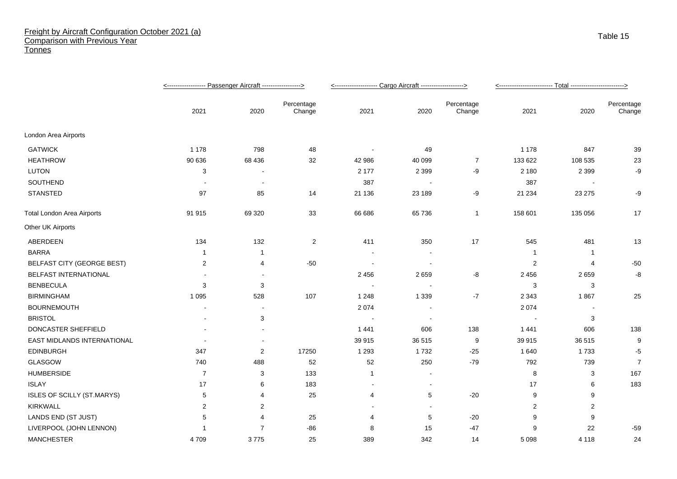## Freight by Aircraft Configuration October 2021 (a) Comparison with Previous Year **Tonnes**

|                                   |                |                |                      | <-------------------- Cargo Aircraft -------------------> |                          |                      |         |                |                      |
|-----------------------------------|----------------|----------------|----------------------|-----------------------------------------------------------|--------------------------|----------------------|---------|----------------|----------------------|
|                                   | 2021           | 2020           | Percentage<br>Change | 2021                                                      | 2020                     | Percentage<br>Change | 2021    | 2020           | Percentage<br>Change |
| London Area Airports              |                |                |                      |                                                           |                          |                      |         |                |                      |
| <b>GATWICK</b>                    | 1 1 7 8        | 798            | 48                   |                                                           | 49                       |                      | 1 1 7 8 | 847            | 39                   |
| <b>HEATHROW</b>                   | 90 636         | 68 436         | 32                   | 42 986                                                    | 40 099                   | $\overline{7}$       | 133 622 | 108 535        | 23                   |
| <b>LUTON</b>                      | 3              |                |                      | 2 177                                                     | 2 3 9 9                  | -9                   | 2 1 8 0 | 2 3 9 9        | -9                   |
| SOUTHEND                          |                | $\blacksquare$ |                      | 387                                                       | $\sim$                   |                      | 387     |                |                      |
| <b>STANSTED</b>                   | 97             | 85             | 14                   | 21 136                                                    | 23 189                   | -9                   | 21 234  | 23 275         | -9                   |
| <b>Total London Area Airports</b> | 91 915         | 69 3 20        | 33                   | 66 686                                                    | 65 736                   | $\overline{1}$       | 158 601 | 135 056        | 17                   |
| Other UK Airports                 |                |                |                      |                                                           |                          |                      |         |                |                      |
| ABERDEEN                          | 134            | 132            | $\overline{2}$       | 411                                                       | 350                      | 17                   | 545     | 481            | 13                   |
| <b>BARRA</b>                      | $\mathbf 1$    |                |                      |                                                           |                          |                      | -1      | $\overline{1}$ |                      |
| <b>BELFAST CITY (GEORGE BEST)</b> | $\sqrt{2}$     | 4              | $-50$                | $\overline{\phantom{a}}$                                  | $\overline{\phantom{a}}$ |                      | 2       | $\overline{4}$ | $-50$                |
| BELFAST INTERNATIONAL             |                |                |                      | 2 4 5 6                                                   | 2659                     | -8                   | 2 4 5 6 | 2659           | -8                   |
| <b>BENBECULA</b>                  | 3              | 3              |                      |                                                           |                          |                      | 3       | 3              |                      |
| <b>BIRMINGHAM</b>                 | 1 0 9 5        | 528            | 107                  | 1 2 4 8                                                   | 1 3 3 9                  | $-7$                 | 2 3 4 3 | 1867           | 25                   |
| <b>BOURNEMOUTH</b>                |                |                |                      | 2074                                                      |                          |                      | 2 0 7 4 |                |                      |
| <b>BRISTOL</b>                    |                | 3              |                      | $\overline{\phantom{a}}$                                  | $\overline{\phantom{a}}$ |                      |         | 3              |                      |
| DONCASTER SHEFFIELD               |                |                |                      | 1441                                                      | 606                      | 138                  | 1 4 4 1 | 606            | 138                  |
| EAST MIDLANDS INTERNATIONAL       |                | ÷.             |                      | 39 915                                                    | 36 515                   | 9                    | 39 915  | 36 515         | 9                    |
| <b>EDINBURGH</b>                  | 347            | $\overline{c}$ | 17250                | 1 2 9 3                                                   | 1732                     | $-25$                | 1 640   | 1733           | $-5$                 |
| <b>GLASGOW</b>                    | 740            | 488            | 52                   | 52                                                        | 250                      | $-79$                | 792     | 739            | $\overline{7}$       |
| <b>HUMBERSIDE</b>                 | $\overline{7}$ | 3              | 133                  | 1                                                         | $\overline{\phantom{a}}$ |                      | 8       | 3              | 167                  |
| <b>ISLAY</b>                      | 17             | 6              | 183                  | $\overline{\phantom{a}}$                                  | $\blacksquare$           |                      | 17      | 6              | 183                  |
| ISLES OF SCILLY (ST.MARYS)        | 5              | 4              | 25                   | 4                                                         | 5                        | $-20$                | 9       | 9              |                      |
| <b>KIRKWALL</b>                   | 2              | 2              |                      |                                                           |                          |                      | 2       | 2              |                      |
| LANDS END (ST JUST)               | 5              | $\overline{4}$ | 25                   | 4                                                         | 5                        | $-20$                | 9       | 9              |                      |
| LIVERPOOL (JOHN LENNON)           |                | 7              | $-86$                | 8                                                         | 15                       | $-47$                | 9       | 22             | $-59$                |
| <b>MANCHESTER</b>                 | 4709           | 3775           | 25                   | 389                                                       | 342                      | 14                   | 5 0 9 8 | 4 1 1 8        | 24                   |